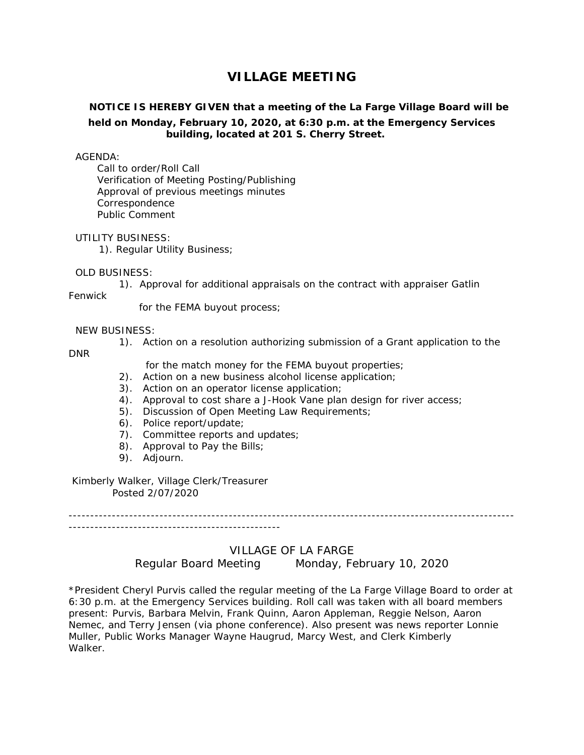# **VILLAGE MEETING**

## **NOTICE IS HEREBY GIVEN that a meeting of the La Farge Village Board will be held on Monday, February 10, 2020, at 6:30 p.m. at the Emergency Services building, located at 201 S. Cherry Street.**

#### AGENDA:

Call to order/Roll Call Verification of Meeting Posting/Publishing Approval of previous meetings minutes Correspondence Public Comment

#### UTILITY BUSINESS:

1). Regular Utility Business;

#### OLD BUSINESS:

1). Approval for additional appraisals on the contract with appraiser Gatlin

Fenwick

for the FEMA buyout process;

### NEW BUSINESS:

1). Action on a resolution authorizing submission of a Grant application to the

DNR

for the match money for the FEMA buyout properties;

- 2). Action on a new business alcohol license application;
- 3). Action on an operator license application;
- 4). Approval to cost share a J-Hook Vane plan design for river access;
- 5). Discussion of Open Meeting Law Requirements;
- 6). Police report/update;
- 7). Committee reports and updates;
- 8). Approval to Pay the Bills;
- 9). Adjourn.

#### Kimberly Walker, Village Clerk/Treasurer Posted 2/07/2020

------------------------------------------------------------------------------------------------------- -------------------------------------------------

## VILLAGE OF LA FARGE

Regular Board Meeting Monday, February 10, 2020

\*President Cheryl Purvis called the regular meeting of the La Farge Village Board to order at 6:30 p.m. at the Emergency Services building. Roll call was taken with all board members present: Purvis, Barbara Melvin, Frank Quinn, Aaron Appleman, Reggie Nelson, Aaron Nemec, and Terry Jensen (via phone conference). Also present was news reporter Lonnie Muller, Public Works Manager Wayne Haugrud, Marcy West, and Clerk Kimberly Walker.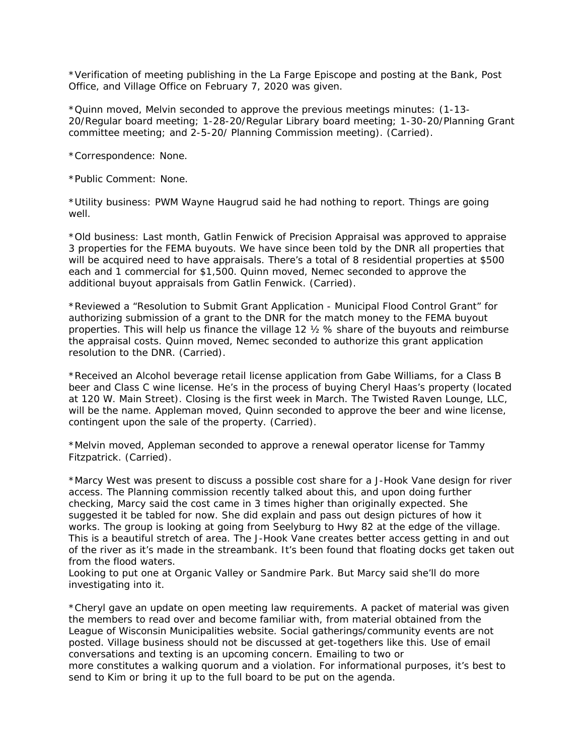\*Verification of meeting publishing in the La Farge Episcope and posting at the Bank, Post Office, and Village Office on February 7, 2020 was given.

\*Quinn moved, Melvin seconded to approve the previous meetings minutes: (1-13- 20/Regular board meeting; 1-28-20/Regular Library board meeting; 1-30-20/Planning Grant committee meeting; and 2-5-20/ Planning Commission meeting). (Carried).

\*Correspondence: None.

\*Public Comment: None.

\*Utility business: PWM Wayne Haugrud said he had nothing to report. Things are going well.

\*Old business: Last month, Gatlin Fenwick of Precision Appraisal was approved to appraise 3 properties for the FEMA buyouts. We have since been told by the DNR all properties that will be acquired need to have appraisals. There's a total of 8 residential properties at \$500 each and 1 commercial for \$1,500. Quinn moved, Nemec seconded to approve the additional buyout appraisals from Gatlin Fenwick. (Carried).

\*Reviewed a "Resolution to Submit Grant Application - Municipal Flood Control Grant" for authorizing submission of a grant to the DNR for the match money to the FEMA buyout properties. This will help us finance the village 12 ½ % share of the buyouts and reimburse the appraisal costs. Quinn moved, Nemec seconded to authorize this grant application resolution to the DNR. (Carried).

\*Received an Alcohol beverage retail license application from Gabe Williams, for a Class B beer and Class C wine license. He's in the process of buying Cheryl Haas's property (located at 120 W. Main Street). Closing is the first week in March. The Twisted Raven Lounge, LLC, will be the name. Appleman moved, Quinn seconded to approve the beer and wine license, contingent upon the sale of the property. (Carried).

\*Melvin moved, Appleman seconded to approve a renewal operator license for Tammy Fitzpatrick. (Carried).

\*Marcy West was present to discuss a possible cost share for a J-Hook Vane design for river access. The Planning commission recently talked about this, and upon doing further checking, Marcy said the cost came in 3 times higher than originally expected. She suggested it be tabled for now. She did explain and pass out design pictures of how it works. The group is looking at going from Seelyburg to Hwy 82 at the edge of the village. This is a beautiful stretch of area. The J-Hook Vane creates better access getting in and out of the river as it's made in the streambank. It's been found that floating docks get taken out from the flood waters.

Looking to put one at Organic Valley or Sandmire Park. But Marcy said she'll do more investigating into it.

\*Cheryl gave an update on open meeting law requirements. A packet of material was given the members to read over and become familiar with, from material obtained from the League of Wisconsin Municipalities website. Social gatherings/community events are not posted. Village business should not be discussed at get-togethers like this. Use of email conversations and texting is an upcoming concern. Emailing to two or more constitutes a walking quorum and a violation. For informational purposes, it's best to send to Kim or bring it up to the full board to be put on the agenda.